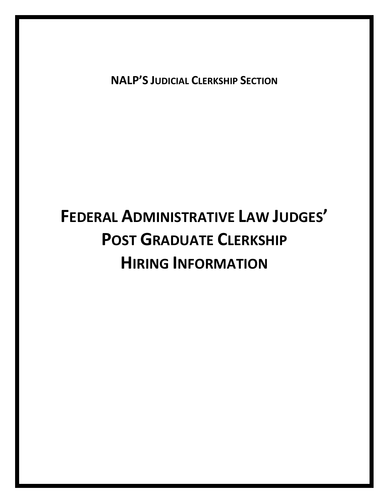**NALP'S JUDICIAL CLERKSHIP SECTION**

# **FEDERAL ADMINISTRATIVE LAW JUDGES' POST GRADUATE CLERKSHIP HIRING INFORMATION**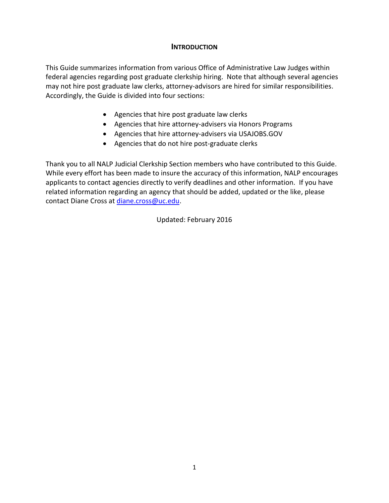# **INTRODUCTION**

This Guide summarizes information from various Office of Administrative Law Judges within federal agencies regarding post graduate clerkship hiring. Note that although several agencies may not hire post graduate law clerks, attorney-advisors are hired for similar responsibilities. Accordingly, the Guide is divided into four sections:

- Agencies that hire post graduate law clerks
- Agencies that hire attorney-advisers via Honors Programs
- Agencies that hire attorney-advisers via USAJOBS.GOV
- Agencies that do not hire post-graduate clerks

Thank you to all NALP Judicial Clerkship Section members who have contributed to this Guide. While every effort has been made to insure the accuracy of this information, NALP encourages applicants to contact agencies directly to verify deadlines and other information. If you have related information regarding an agency that should be added, updated or the like, please contact Diane Cross at [diane.cross@uc.edu.](mailto:diane.cross@uc.edu)

Updated: February 2016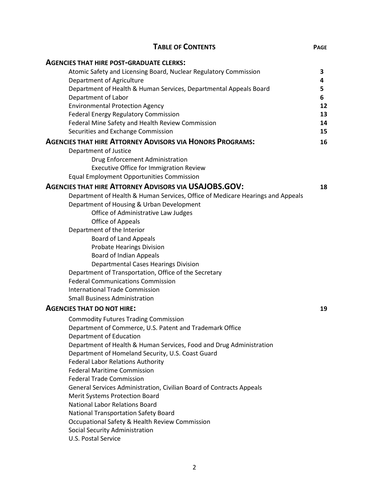| <b>TABLE OF CONTENTS</b>                                                       | <b>PAGE</b> |
|--------------------------------------------------------------------------------|-------------|
| <b>AGENCIES THAT HIRE POST-GRADUATE CLERKS:</b>                                |             |
| Atomic Safety and Licensing Board, Nuclear Regulatory Commission               | 3           |
| Department of Agriculture                                                      | 4           |
| Department of Health & Human Services, Departmental Appeals Board              | 5           |
| Department of Labor                                                            | 6           |
| <b>Environmental Protection Agency</b>                                         | 12          |
| <b>Federal Energy Regulatory Commission</b>                                    | 13          |
| Federal Mine Safety and Health Review Commission                               | 14          |
| Securities and Exchange Commission                                             | 15          |
| <b>AGENCIES THAT HIRE ATTORNEY ADVISORS VIA HONORS PROGRAMS:</b>               | 16          |
| Department of Justice                                                          |             |
| Drug Enforcement Administration                                                |             |
| <b>Executive Office for Immigration Review</b>                                 |             |
| <b>Equal Employment Opportunities Commission</b>                               |             |
| <b>AGENCIES THAT HIRE ATTORNEY ADVISORS VIA USAJOBS.GOV:</b>                   | 18          |
| Department of Health & Human Services, Office of Medicare Hearings and Appeals |             |
| Department of Housing & Urban Development                                      |             |
| Office of Administrative Law Judges                                            |             |
| Office of Appeals                                                              |             |
| Department of the Interior                                                     |             |
| <b>Board of Land Appeals</b>                                                   |             |
| <b>Probate Hearings Division</b>                                               |             |
| <b>Board of Indian Appeals</b>                                                 |             |
| <b>Departmental Cases Hearings Division</b>                                    |             |
| Department of Transportation, Office of the Secretary                          |             |
| <b>Federal Communications Commission</b>                                       |             |
| <b>International Trade Commission</b>                                          |             |
| <b>Small Business Administration</b>                                           |             |
| <b>AGENCIES THAT DO NOT HIRE:</b>                                              | 19          |
| <b>Commodity Futures Trading Commission</b>                                    |             |
| Department of Commerce, U.S. Patent and Trademark Office                       |             |
| Department of Education                                                        |             |
| Department of Health & Human Services, Food and Drug Administration            |             |
| Department of Homeland Security, U.S. Coast Guard                              |             |
| <b>Federal Labor Relations Authority</b>                                       |             |
| <b>Federal Maritime Commission</b>                                             |             |
| <b>Federal Trade Commission</b>                                                |             |
| General Services Administration, Civilian Board of Contracts Appeals           |             |
| Merit Systems Protection Board<br><b>National Labor Relations Board</b>        |             |
| <b>National Transportation Safety Board</b>                                    |             |
| Occupational Safety & Health Review Commission                                 |             |
| Social Security Administration                                                 |             |
| <b>U.S. Postal Service</b>                                                     |             |
|                                                                                |             |

$$
\mathbf{2}^{\prime}
$$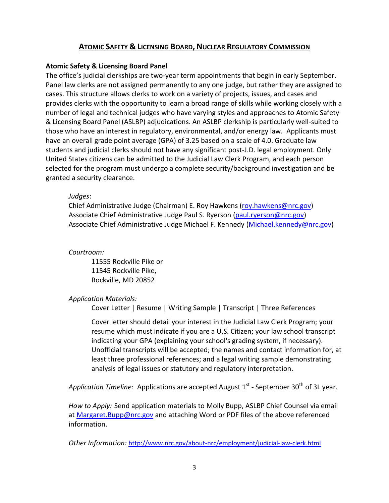# **ATOMIC SAFETY & LICENSING BOARD, NUCLEAR REGULATORY COMMISSION**

# **Atomic Safety & Licensing Board Panel**

The office's judicial clerkships are two-year term appointments that begin in early September. Panel law clerks are not assigned permanently to any one judge, but rather they are assigned to cases. This structure allows clerks to work on a variety of projects, issues, and cases and provides clerks with the opportunity to learn a broad range of skills while working closely with a number of legal and technical judges who have varying styles and approaches to Atomic Safety & Licensing Board Panel (ASLBP) adjudications. An ASLBP clerkship is particularly well-suited to those who have an interest in regulatory, environmental, and/or energy law. Applicants must have an overall grade point average (GPA) of 3.25 based on a scale of 4.0. Graduate law students and judicial clerks should not have any significant post-J.D. legal employment. Only United States citizens can be admitted to the Judicial Law Clerk Program, and each person selected for the program must undergo a complete security/background investigation and be granted a security clearance.

# *Judges*:

Chief Administrative Judge (Chairman) E. Roy Hawkens [\(roy.hawkens@nrc.gov\)](mailto:roy.hawkens@nrc.gov) Associate Chief Administrative Judge Paul S. Ryerson [\(paul.ryerson@nrc.gov\)](mailto:paul.ryerson@nrc.gov) Associate Chief Administrative Judge Michael F. Kennedy [\(Michael.kennedy@nrc.gov\)](mailto:Michael.kennedy@nrc.gov)

# *Courtroom:*

11555 Rockville Pike or 11545 Rockville Pike, Rockville, MD 20852

# *Application Materials:*

Cover Letter | Resume | Writing Sample | Transcript | Three References

Cover letter should detail your interest in the Judicial Law Clerk Program; your resume which must indicate if you are a U.S. Citizen; your law school transcript indicating your GPA (explaining your school's grading system, if necessary). Unofficial transcripts will be accepted; the names and contact information for, at least three professional references; and a legal writing sample demonstrating analysis of legal issues or statutory and regulatory interpretation.

Application Timeline: Applications are accepted August 1<sup>st</sup> - September 30<sup>th</sup> of 3L year.

*How to Apply:* Send application materials to Molly Bupp, ASLBP Chief Counsel via email at [Margaret.Bupp@nrc.gov](mailto:Margaret.Bupp@nrc.gov) and attaching Word or PDF files of the above referenced information.

*Other Information:* <http://www.nrc.gov/about-nrc/employment/judicial-law-clerk.html>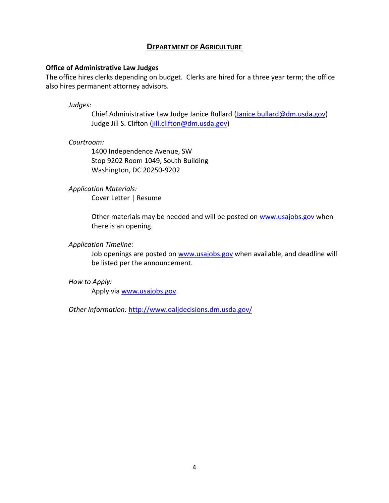# **DEPARTMENT OF AGRICULTURE**

#### **Office of Administrative Law Judges**

The office hires clerks depending on budget. Clerks are hired for a three year term; the office also hires permanent attorney advisors.

#### *Judges*:

Chief Administrative Law Judge Janice Bullard [\(Janice.bullard@dm.usda.gov\)](mailto:Janice.bullard@dm.usda.gov) Judge Jill S. Clifton [\(jill.clifton@dm.usda.gov\)](mailto:jill.clifton@dm.usda.gov)

#### *Courtroom:*

1400 Independence Avenue, SW Stop 9202 Room 1049, South Building Washington, DC 20250-9202

#### *Application Materials:*

Cover Letter | Resume

Other materials may be needed and will be posted on [www.usajobs.gov](http://www.usajobs.gov/) when there is an opening.

#### *Application Timeline:*

Job openings are posted on [www.usajobs.gov](http://www.usajobs.gov/) when available, and deadline will be listed per the announcement.

#### *How to Apply:*

Apply via [www.usajobs.gov.](http://www.usajobs.gov/)

*Other Information:* <http://www.oaljdecisions.dm.usda.gov/>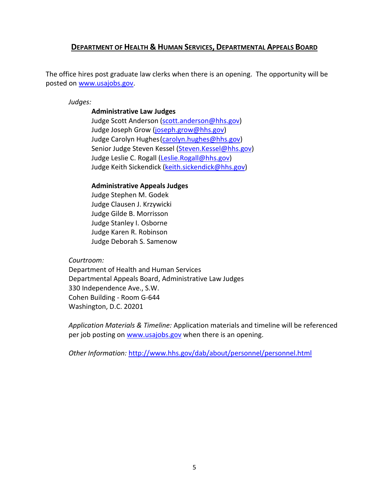# **DEPARTMENT OF HEALTH & HUMAN SERVICES, DEPARTMENTAL APPEALS BOARD**

The office hires post graduate law clerks when there is an opening. The opportunity will be posted on [www.usajobs.gov.](http://www.usajobs.gov/)

#### *Judges:*

# **Administrative Law Judges**

Judge Scott Anderson [\(scott.anderson@hhs.gov\)](mailto:scott.anderson@hhs.gov) Judge Joseph Grow [\(joseph.grow@hhs.gov\)](mailto:joseph.grow@hhs.gov) Judge Carolyn Hughes[\(carolyn.hughes@hhs.gov\)](mailto:carolyn.hughes@hhs.gov) Senior Judge Steven Kessel [\(Steven.Kessel@hhs.gov\)](mailto:Steven.Kessel@hhs.gov) Judge Leslie C. Rogall [\(Leslie.Rogall@hhs.gov\)](mailto:leslie.rogall@hhs.gov) Judge Keith Sickendick [\(keith.sickendick@hhs.gov\)](mailto:keith.sickendick@hhs.gov)

# **Administrative Appeals Judges**

Judge Stephen M. Godek Judge Clausen J. Krzywicki Judge Gilde B. Morrisson Judge Stanley I. Osborne Judge Karen R. Robinson Judge Deborah S. Samenow

# *Courtroom:*

Department of Health and Human Services Departmental Appeals Board, Administrative Law Judges 330 Independence Ave., S.W. Cohen Building - Room G-644 Washington, D.C. 20201

*Application Materials & Timeline:* Application materials and timeline will be referenced per job posting on [www.usajobs.gov](http://www.usajobs.gov/) when there is an opening.

*Other Information:* <http://www.hhs.gov/dab/about/personnel/personnel.html>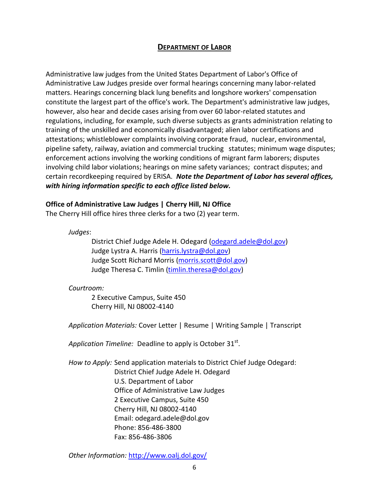# **DEPARTMENT OF LABOR**

Administrative law judges from the United States Department of Labor's Office of Administrative Law Judges preside over formal hearings concerning many labor-related matters. Hearings concerning black lung benefits and longshore workers' compensation constitute the largest part of the office's work. The Department's administrative law judges, however, also hear and decide cases arising from over 60 labor-related statutes and regulations, including, for example, such diverse subjects as grants administration relating to training of the unskilled and economically disadvantaged; alien labor certifications and attestations; whistleblower complaints involving corporate fraud, nuclear, environmental, pipeline safety, railway, aviation and commercial trucking statutes; minimum wage disputes; enforcement actions involving the working conditions of migrant farm laborers; disputes involving child labor violations; hearings on mine safety variances; contract disputes; and certain recordkeeping required by ERISA. *Note the Department of Labor has several offices, with hiring information specific to each office listed below.*

#### **Office of Administrative Law Judges | Cherry Hill, NJ Office**

The Cherry Hill office hires three clerks for a two (2) year term.

*Judges*:

District Chief Judge Adele H. Odegard [\(odegard.adele@dol.gov\)](mailto:odegard.adele@dol.gov) Judge Lystra A. Harris [\(harris.lystra@dol.gov\)](mailto:harris.lystra@dol.gov) Judge Scott Richard Morris [\(morris.scott@dol.gov\)](mailto:morris.scott@dol.gov) Judge Theresa C. Timlin [\(timlin.theresa@dol.gov\)](mailto:timlin.theresa@dol.gov)

#### *Courtroom:*

2 Executive Campus, Suite 450 Cherry Hill, NJ 08002-4140

*Application Materials:* Cover Letter | Resume | Writing Sample | Transcript

Application Timeline: Deadline to apply is October 31<sup>st</sup>.

*How to Apply:* Send application materials to District Chief Judge Odegard: District Chief Judge Adele H. Odegard U.S. Department of Labor Office of Administrative Law Judges 2 Executive Campus, Suite 450 Cherry Hill, NJ 08002-4140 Email: odegard.adele@dol.gov Phone: 856-486-3800 Fax: 856-486-3806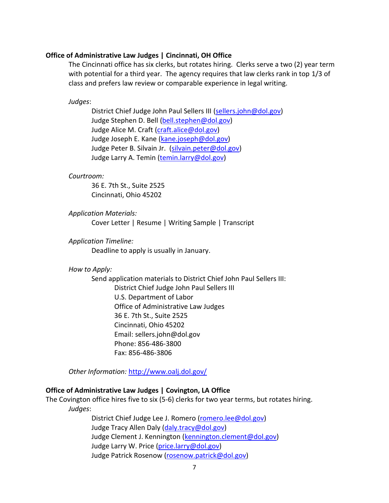#### **Office of Administrative Law Judges | Cincinnati, OH Office**

The Cincinnati office has six clerks, but rotates hiring. Clerks serve a two (2) year term with potential for a third year. The agency requires that law clerks rank in top 1/3 of class and prefers law review or comparable experience in legal writing.

*Judges*:

District Chief Judge John Paul Sellers III [\(sellers.john@dol.gov\)](mailto:sellers.john@dol.gov) Judge Stephen D. Bell [\(bell.stephen@dol.gov\)](mailto:bell.stephen@dol.gov) Judge Alice M. Craft [\(craft.alice@dol.gov\)](mailto:craft.alice@dol.gov) Judge Joseph E. Kane [\(kane.joseph@dol.gov\)](mailto:kane.joseph@dol.gov) Judge Peter B. Silvain Jr. [\(silvain.peter@dol.gov\)](mailto:silvain.peter@dol.gov) Judge Larry A. Temin [\(temin.larry@dol.gov\)](mailto:temin.larry@dol.gov)

#### *Courtroom:*

36 E. 7th St., Suite 2525 Cincinnati, Ohio 45202

#### *Application Materials:*

Cover Letter | Resume | Writing Sample | Transcript

#### *Application Timeline:*

Deadline to apply is usually in January.

# *How to Apply:*

Send application materials to District Chief John Paul Sellers III: District Chief Judge John Paul Sellers III U.S. Department of Labor Office of Administrative Law Judges 36 E. 7th St., Suite 2525 Cincinnati, Ohio 45202 Email: sellers.john@dol.gov Phone: 856-486-3800 Fax: 856-486-3806

*Other Information:* <http://www.oalj.dol.gov/>

#### **Office of Administrative Law Judges | Covington, LA Office**

The Covington office hires five to six (5-6) clerks for two year terms, but rotates hiring. *Judges*:

> District Chief Judge Lee J. Romero [\(romero.lee@dol.gov\)](mailto:romero.lee@dol.gov) Judge Tracy Allen Daly [\(daly.tracy@dol.gov\)](mailto:daly.tracy@dol.gov) Judge Clement J. Kennington [\(kennington.clement@dol.gov\)](mailto:kennington.clement@dol.gov) Judge Larry W. Price [\(price.larry@dol.gov\)](mailto:price.larry@dol.gov) Judge Patrick Rosenow [\(rosenow.patrick@dol.gov\)](mailto:rosenow.patrick@dol.gov)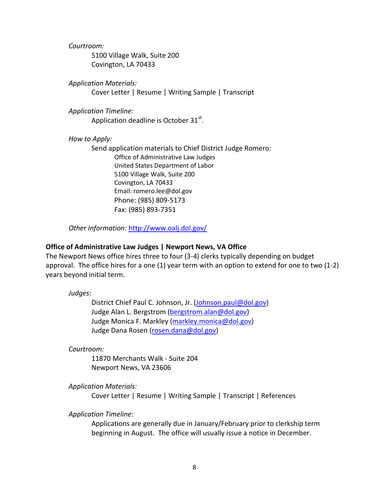#### *Courtroom:*

5100 Village Walk, Suite 200 Covington, LA 70433

*Application Materials:* Cover Letter | Resume | Writing Sample | Transcript

*Application Timeline:*

Application deadline is October 31 $^{\text{st}}$ .

*How to Apply:*

Send application materials to Chief District Judge Romero: Office of Administrative Law Judges United States Department of Labor 5100 Village Walk, Suite 200 Covington, LA 70433 Email: romero.lee@dol.gov Phone: (985) 809-5173 Fax: (985) 893-7351

*Other Information:* <http://www.oalj.dol.gov/>

#### **Office of Administrative Law Judges | Newport News, VA Office**

The Newport News office hires three to four (3-4) clerks typically depending on budget approval. The office hires for a one (1) year term with an option to extend for one to two (1-2) years beyond initial term.

*Judges*:

District Chief Paul C. Johnson, Jr. [\(Johnson.paul@dol.gov\)](mailto:Johnson.paul@dol.gov) Judge Alan L. Bergstrom [\(bergstrom.alan@dol.gov\)](mailto:bergstrom.alan@dol.gov) Judge Monica F. Markley [\(markley.monica@dol.gov\)](mailto:markley.monica@dol.gov) Judge Dana Rosen [\(rosen.dana@dol.gov\)](mailto:rosen.dana@dol.gov)

*Courtroom:*

11870 Merchants Walk - Suite 204 Newport News, VA 23606

*Application Materials:*

Cover Letter | Resume | Writing Sample | Transcript | References

*Application Timeline:*

Applications are generally due in January/February prior to clerkship term beginning in August. The office will usually issue a notice in December.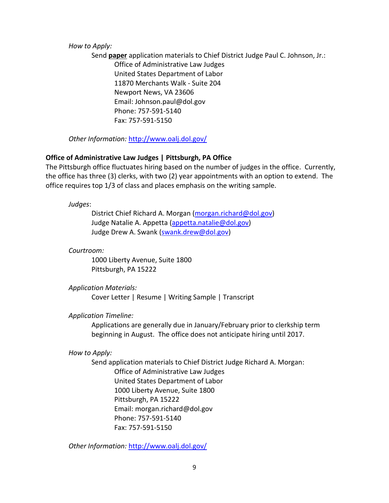#### *How to Apply:*

Send **paper** application materials to Chief District Judge Paul C. Johnson, Jr.: Office of Administrative Law Judges United States Department of Labor 11870 Merchants Walk - Suite 204 Newport News, VA 23606 Email: Johnson.paul@dol.gov Phone: 757-591-5140 Fax: 757-591-5150

*Other Information:* <http://www.oalj.dol.gov/>

# **Office of Administrative Law Judges | Pittsburgh, PA Office**

The Pittsburgh office fluctuates hiring based on the number of judges in the office. Currently, the office has three (3) clerks, with two (2) year appointments with an option to extend. The office requires top 1/3 of class and places emphasis on the writing sample.

*Judges*:

District Chief Richard A. Morgan [\(morgan.richard@dol.gov\)](mailto:morgan.richard@dol.gov) Judge Natalie A. Appetta [\(appetta.natalie@dol.gov\)](mailto:appetta.natalie@dol.gov) Judge Drew A. Swank [\(swank.drew@dol.gov\)](mailto:swank.drew@dol.gov)

*Courtroom:*

1000 Liberty Avenue, Suite 1800 Pittsburgh, PA 15222

# *Application Materials:*

Cover Letter | Resume | Writing Sample | Transcript

# *Application Timeline:*

Applications are generally due in January/February prior to clerkship term beginning in August. The office does not anticipate hiring until 2017.

#### *How to Apply:*

Send application materials to Chief District Judge Richard A. Morgan: Office of Administrative Law Judges United States Department of Labor 1000 Liberty Avenue, Suite 1800 Pittsburgh, PA 15222 Email: morgan.richard@dol.gov Phone: 757-591-5140 Fax: 757-591-5150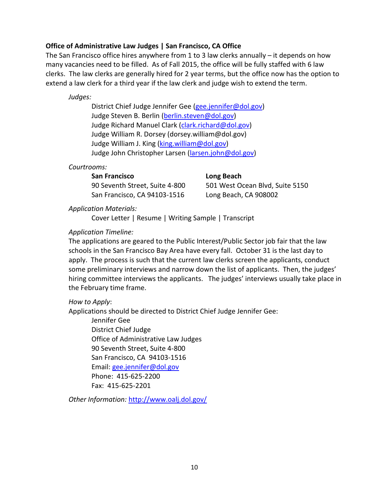# **Office of Administrative Law Judges | San Francisco, CA Office**

The San Francisco office hires anywhere from 1 to 3 law clerks annually – it depends on how many vacancies need to be filled. As of Fall 2015, the office will be fully staffed with 6 law clerks. The law clerks are generally hired for 2 year terms, but the office now has the option to extend a law clerk for a third year if the law clerk and judge wish to extend the term.

#### *Judges:*

District Chief Judge Jennifer Gee [\(gee.jennifer@dol.gov\)](mailto:gee.jennifer@dol.gov) Judge Steven B. Berlin [\(berlin.steven@dol.gov\)](mailto:berlin.steven@dol.gov) Judge Richard Manuel Clark [\(clark.richard@dol.gov\)](mailto:clark.richard@dol.gov) Judge William R. Dorsey (dorsey.william@dol.gov) Judge William J. King [\(king.william@dol.gov\)](mailto:king.william@dol.gov) Judge John Christopher Larsen [\(larsen.john@dol.gov\)](mailto:larsen.john@dol.gov)

# *Courtrooms:*

**San Francisco Long Beach** San Francisco, CA 94103-1516 Long Beach, CA 908002

90 Seventh Street, Suite 4-800 501 West Ocean Blvd, Suite 5150

# *Application Materials:*

Cover Letter | Resume | Writing Sample | Transcript

# *Application Timeline:*

The applications are geared to the Public Interest/Public Sector job fair that the law schools in the San Francisco Bay Area have every fall. October 31 is the last day to apply. The process is such that the current law clerks screen the applicants, conduct some preliminary interviews and narrow down the list of applicants. Then, the judges' hiring committee interviews the applicants. The judges' interviews usually take place in the February time frame.

# *How to Apply*:

Applications should be directed to District Chief Judge Jennifer Gee:

Jennifer Gee District Chief Judge Office of Administrative Law Judges 90 Seventh Street, Suite 4-800 San Francisco, CA 94103-1516 Email: [gee.jennifer@dol.gov](mailto:gee.jennifer@dol.gov) Phone: 415-625-2200 Fax: 415-625-2201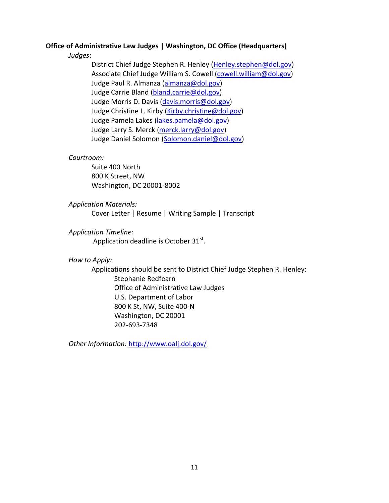#### **Office of Administrative Law Judges | Washington, DC Office (Headquarters)**

#### *Judges*:

District Chief Judge Stephen R. Henley [\(Henley.stephen@dol.gov\)](mailto:Henley.stephen@dol.gov) Associate Chief Judge William S. Cowell [\(cowell.william@dol.gov\)](mailto:cowell.william@dol.gov) Judge Paul R. Almanza [\(almanza@dol.gov\)](mailto:almanza@dol.gov) Judge Carrie Bland [\(bland.carrie@dol.gov\)](mailto:bland.carrie@dol.gov) Judge Morris D. Davis [\(davis.morris@dol.gov\)](mailto:davis.morris@dol.gov) Judge Christine L. Kirby [\(Kirby.christine@dol.gov\)](mailto:Kirby.christine@dol.gov) Judge Pamela Lakes [\(lakes.pamela@dol.gov\)](mailto:lakes.pamela@dol.gov) Judge Larry S. Merck [\(merck.larry@dol.gov\)](mailto:merck.larry@dol.gov) Judge Daniel Solomon [\(Solomon.daniel@dol.gov\)](mailto:Solomon.daniel@dol.gov)

#### *Courtroom:*

Suite 400 North 800 K Street, NW Washington, DC 20001-8002

#### *Application Materials:*

Cover Letter | Resume | Writing Sample | Transcript

#### *Application Timeline:*

Application deadline is October 31 $^{\rm st}$ .

# *How to Apply:*

Applications should be sent to District Chief Judge Stephen R. Henley: Stephanie Redfearn Office of Administrative Law Judges U.S. Department of Labor 800 K St, NW, Suite 400-N Washington, DC 20001 202-693-7348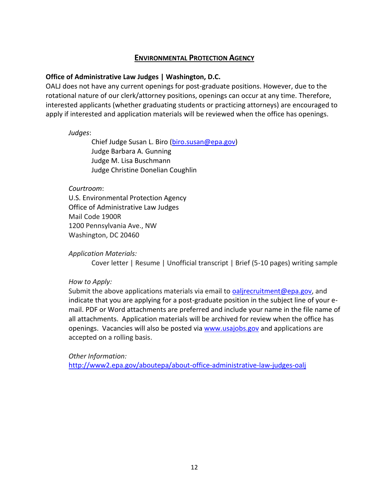# **ENVIRONMENTAL PROTECTION AGENCY**

# **Office of Administrative Law Judges | Washington, D.C.**

OALJ does not have any current openings for post-graduate positions. However, due to the rotational nature of our clerk/attorney positions, openings can occur at any time. Therefore, interested applicants (whether graduating students or practicing attorneys) are encouraged to apply if interested and application materials will be reviewed when the office has openings.

# *Judges*:

Chief Judge Susan L. Biro [\(biro.susan@epa.gov\)](mailto:biro.susan@epa.gov) Judge Barbara A. Gunning Judge M. Lisa Buschmann Judge Christine Donelian Coughlin

# *Courtroom*:

U.S. Environmental Protection Agency Office of Administrative Law Judges Mail Code 1900R 1200 Pennsylvania Ave., NW Washington, DC 20460

*Application Materials:*

Cover letter | Resume | Unofficial transcript | Brief (5-10 pages) writing sample

# *How to Apply:*

Submit the above applications materials via email to [oaljrecruitment@epa.gov,](mailto:oaljrecruitment@epa.gov) and indicate that you are applying for a post-graduate position in the subject line of your email. PDF or Word attachments are preferred and include your name in the file name of all attachments. Application materials will be archived for review when the office has openings. Vacancies will also be posted via [www.usajobs.gov](http://www.usajobs.gov/) and applications are accepted on a rolling basis.

*Other Information:*

<http://www2.epa.gov/aboutepa/about-office-administrative-law-judges-oalj>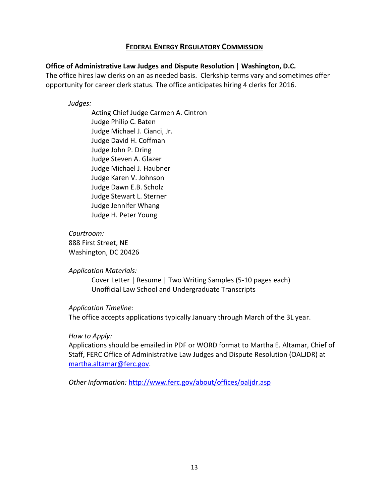# **FEDERAL ENERGY REGULATORY COMMISSION**

# **Office of Administrative Law Judges and Dispute Resolution | Washington, D.C.**

The office hires law clerks on an as needed basis. Clerkship terms vary and sometimes offer opportunity for career clerk status. The office anticipates hiring 4 clerks for 2016.

*Judges:*

Acting Chief Judge Carmen A. Cintron Judge Philip C. Baten Judge Michael J. Cianci, Jr. Judge David H. Coffman Judge John P. Dring Judge Steven A. Glazer Judge Michael J. Haubner Judge Karen V. Johnson Judge Dawn E.B. Scholz Judge Stewart L. Sterner Judge Jennifer Whang Judge H. Peter Young

# *Courtroom:*

888 First Street, NE Washington, DC 20426

#### *Application Materials:*

Cover Letter | Resume | Two Writing Samples (5-10 pages each) Unofficial Law School and Undergraduate Transcripts

#### *Application Timeline:*

The office accepts applications typically January through March of the 3L year.

# *How to Apply:*

Applications should be emailed in PDF or WORD format to Martha E. Altamar, Chief of Staff, FERC Office of Administrative Law Judges and Dispute Resolution (OALJDR) at [martha.altamar@ferc.gov.](mailto:martha.altamar@ferc.gov)

*Other Information:* <http://www.ferc.gov/about/offices/oaljdr.asp>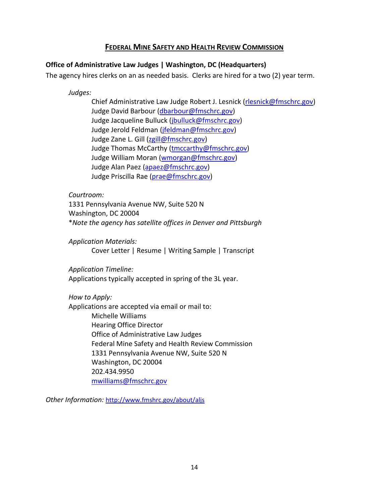# **FEDERAL MINE SAFETY AND HEALTH REVIEW COMMISSION**

# **Office of Administrative Law Judges | Washington, DC (Headquarters)**

The agency hires clerks on an as needed basis. Clerks are hired for a two (2) year term.

*Judges:*

Chief Administrative Law Judge Robert J. Lesnick [\(rlesnick@fmschrc.gov\)](mailto:rlesnick@fmschrc.gov) Judge David Barbour [\(dbarbour@fmschrc.gov\)](mailto:dbarbour@fmschrc.gov) Judge Jacqueline Bulluck [\(jbulluck@fmschrc.gov\)](mailto:jbulluck@fmschrc.gov) Judge Jerold Feldman [\(jfeldman@fmschrc.gov\)](mailto:jfeldman@fmschrc.gov) Judge Zane L. Gill [\(zgill@fmschrc.gov\)](mailto:zgill@fmschrc.gov) Judge Thomas McCarthy [\(tmccarthy@fmschrc.gov\)](mailto:tmccarthy@fmschrc.gov) Judge William Moran [\(wmorgan@fmschrc.gov\)](mailto:wmorgan@fmschrc.gov) Judge Alan Paez [\(apaez@fmschrc.gov\)](mailto:apaez@fmschrc.gov) Judge Priscilla Rae [\(prae@fmschrc.gov\)](mailto:prae@fmschrc.gov)

# *Courtroom:*

1331 Pennsylvania Avenue NW, Suite 520 N Washington, DC 20004 \**Note the agency has satellite offices in Denver and Pittsburgh*

*Application Materials:*

Cover Letter | Resume | Writing Sample | Transcript

*Application Timeline:*

Applications typically accepted in spring of the 3L year.

*How to Apply:*  Applications are accepted via email or mail to: Michelle Williams Hearing Office Director Office of Administrative Law Judges Federal Mine Safety and Health Review Commission 1331 Pennsylvania Avenue NW, Suite 520 N Washington, DC 20004 202.434.9950 [mwilliams@fmschrc.gov](mailto:mwilliams@fmschrc.gov)

*Other Information:* <http://www.fmshrc.gov/about/aljs>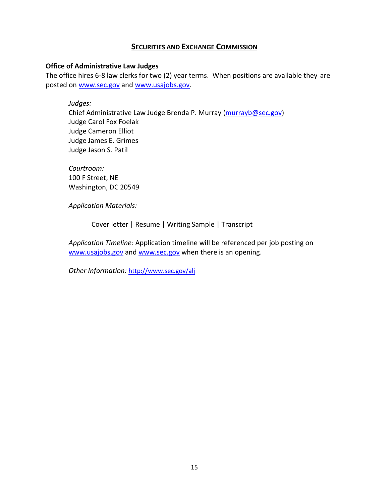# **SECURITIES AND EXCHANGE COMMISSION**

#### **Office of Administrative Law Judges**

The office hires 6-8 law clerks for two (2) year terms. When positions are available they are posted on [www.sec.gov](http://www.sec.gov/) and [www.usajobs.gov.](http://www.usajobs.gov/)

*Judges:* Chief Administrative Law Judge Brenda P. Murray [\(murrayb@sec.gov\)](mailto:murrayb@sec.gov) Judge Carol Fox Foelak Judge Cameron Elliot Judge James E. Grimes Judge Jason S. Patil

*Courtroom:* 100 F Street, NE Washington, DC 20549

*Application Materials:*

Cover letter | Resume | Writing Sample | Transcript

*Application Timeline:* Application timeline will be referenced per job posting on [www.usajobs.gov](http://www.usajobs.gov/) and [www.sec.gov](http://www.sec.gov/) when there is an opening.

*Other Information:* <http://www.sec.gov/alj>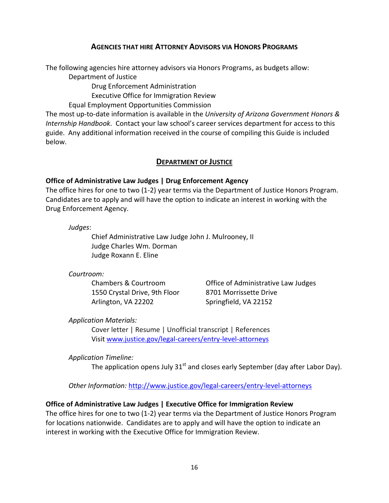# **AGENCIES THAT HIRE ATTORNEY ADVISORS VIA HONORS PROGRAMS**

The following agencies hire attorney advisors via Honors Programs, as budgets allow:

Department of Justice

Drug Enforcement Administration

Executive Office for Immigration Review

Equal Employment Opportunities Commission

The most up-to-date information is available in the *University of Arizona Government Honors & Internship Handbook*. Contact your law school's career services department for access to this guide. Any additional information received in the course of compiling this Guide is included below.

# **DEPARTMENT OF JUSTICE**

# **Office of Administrative Law Judges | Drug Enforcement Agency**

The office hires for one to two (1-2) year terms via the Department of Justice Honors Program. Candidates are to apply and will have the option to indicate an interest in working with the Drug Enforcement Agency.

*Judges*:

Chief Administrative Law Judge John J. Mulrooney, II Judge Charles Wm. Dorman Judge Roxann E. Eline

# *Courtroom:*

1550 Crystal Drive, 9th Floor 8701 Morrissette Drive Arlington, VA 22202 Springfield, VA 22152

Chambers & Courtroom Office of Administrative Law Judges

*Application Materials:*

Cover letter | Resume | Unofficial transcript | References Visi[t www.justice.gov/legal-careers/entry-level-attorneys](http://www.justice.gov/legal-careers/entry-level-attorneys)

#### *Application Timeline:*

The application opens July  $31<sup>st</sup>$  and closes early September (day after Labor Day).

*Other Information:* <http://www.justice.gov/legal-careers/entry-level-attorneys>

#### **Office of Administrative Law Judges | Executive Office for Immigration Review**

The office hires for one to two (1-2) year terms via the Department of Justice Honors Program for locations nationwide. Candidates are to apply and will have the option to indicate an interest in working with the Executive Office for Immigration Review.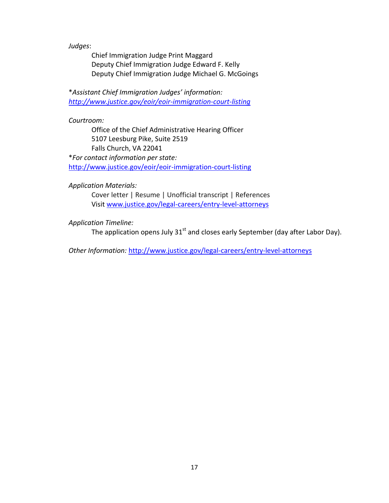*Judges*:

Chief Immigration Judge Print Maggard Deputy Chief Immigration Judge Edward F. Kelly Deputy Chief Immigration Judge Michael G. McGoings

\**Assistant Chief Immigration Judges' information: <http://www.justice.gov/eoir/eoir-immigration-court-listing>*

*Courtroom:*

Office of the Chief Administrative Hearing Officer 5107 Leesburg Pike, Suite 2519 Falls Church, VA 22041 \**For contact information per state:*

<http://www.justice.gov/eoir/eoir-immigration-court-listing>

*Application Materials:*

Cover letter | Resume | Unofficial transcript | References Visi[t www.justice.gov/legal-careers/entry-level-attorneys](http://www.justice.gov/legal-careers/entry-level-attorneys)

*Application Timeline:*

The application opens July  $31<sup>st</sup>$  and closes early September (day after Labor Day).

*Other Information:* <http://www.justice.gov/legal-careers/entry-level-attorneys>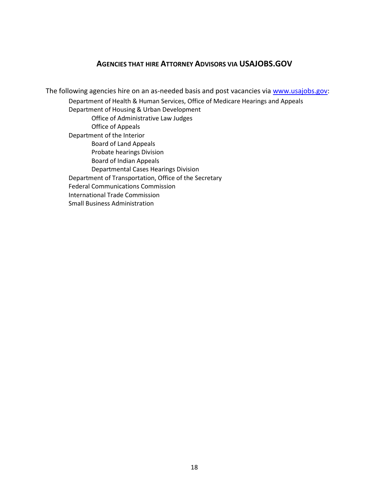# **AGENCIES THAT HIRE ATTORNEY ADVISORS VIA USAJOBS.GOV**

The following agencies hire on an as-needed basis and post vacancies via [www.usajobs.gov:](http://www.usajobs.gov/) Department of Health & Human Services, Office of Medicare Hearings and Appeals Department of Housing & Urban Development Office of Administrative Law Judges Office of Appeals Department of the Interior Board of Land Appeals Probate hearings Division Board of Indian Appeals Departmental Cases Hearings Division Department of Transportation, Office of the Secretary Federal Communications Commission International Trade Commission Small Business Administration